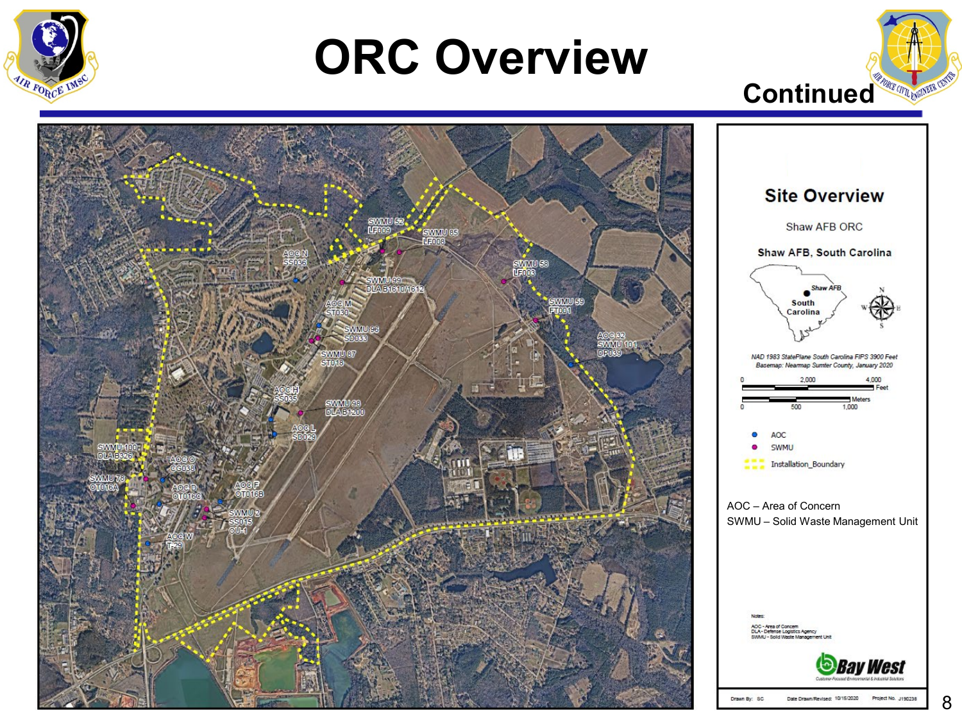

## **ORC Overview**



4,000

**Bay West** 

1,000

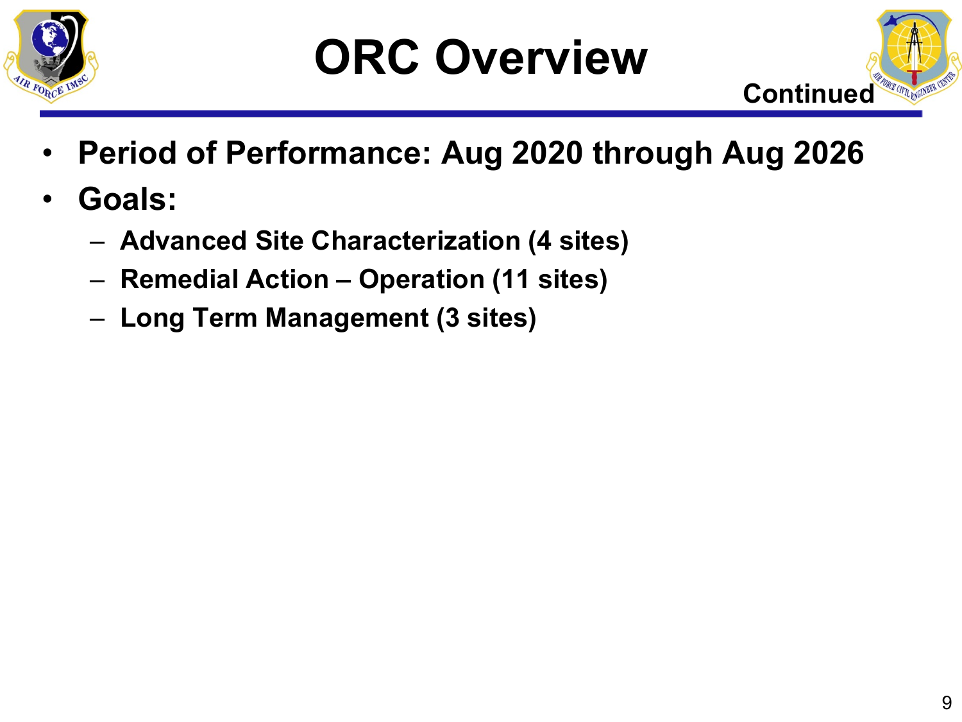



- **Period of Performance: Aug 2020 through Aug 2026**
- **Goals:**
	- **Advanced Site Characterization (4 sites)**
	- **Remedial Action – Operation (11 sites)**
	- **Long Term Management (3 sites)**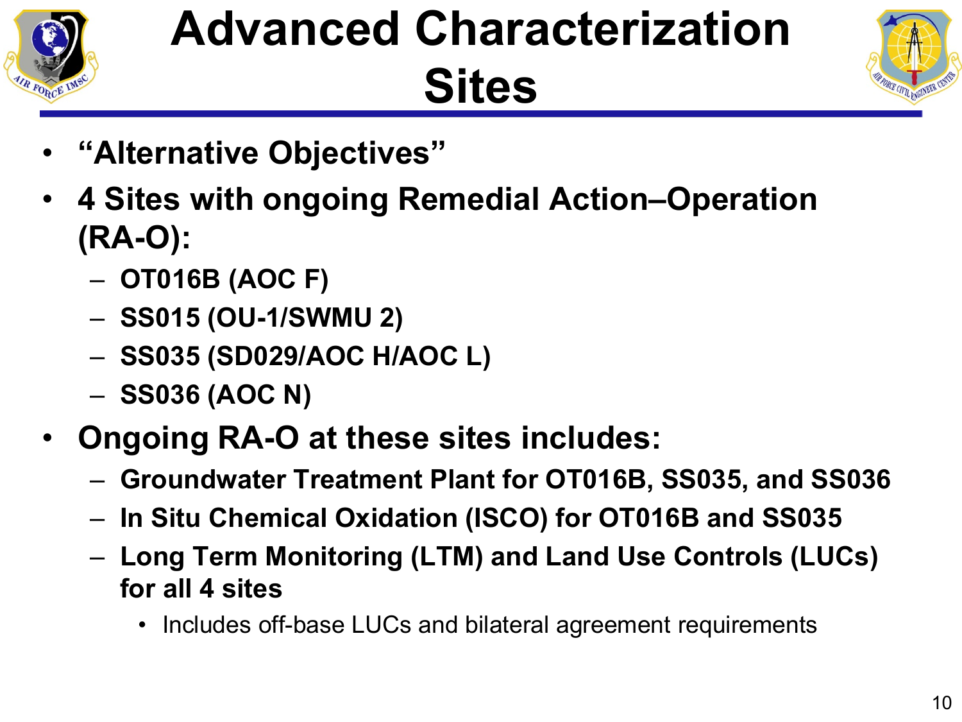

# **Advanced Characterization Sites**



- **"Alternative Objectives"**
- **4 Sites with ongoing Remedial Action–Operation (RA-O):**
	- **OT016B (AOC F)**
	- **SS015 (OU-1/SWMU 2)**
	- **SS035 (SD029/AOC H/AOC L)**
	- **SS036 (AOC N)**
- **Ongoing RA-O at these sites includes:**
	- **Groundwater Treatment Plant for OT016B, SS035, and SS036**
	- **In Situ Chemical Oxidation (ISCO) for OT016B and SS035**
	- **Long Term Monitoring (LTM) and Land Use Controls (LUCs) for all 4 sites**
		- Includes off-base LUCs and bilateral agreement requirements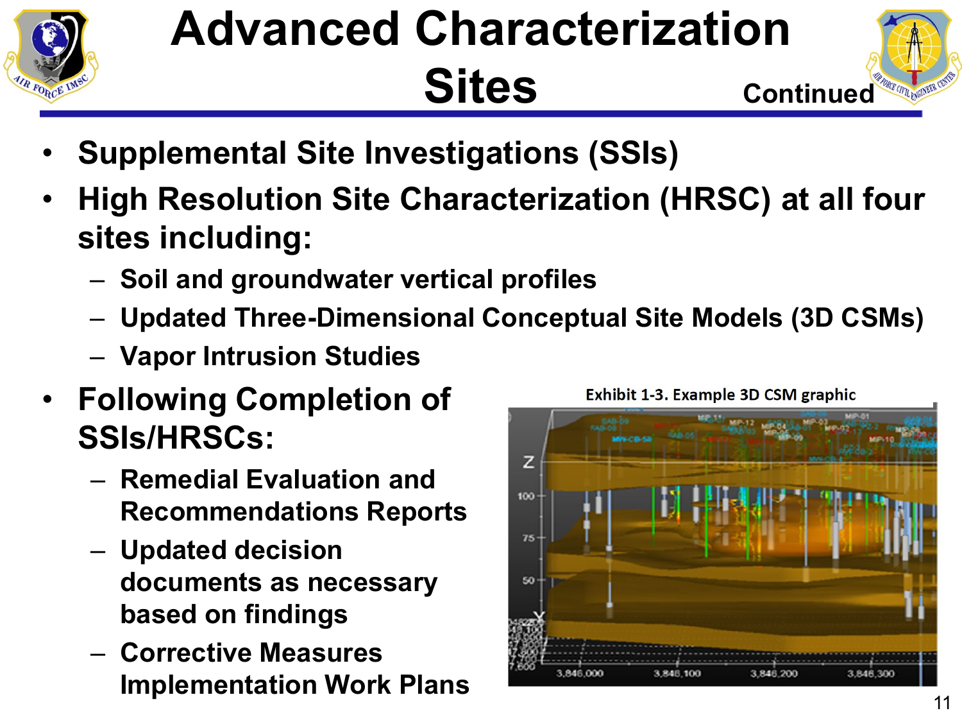

### **Advanced Characterization Sites**



- **Supplemental Site Investigations (SSIs)**
- **High Resolution Site Characterization (HRSC) at all four sites including:**
	- **Soil and groundwater vertical profiles**
	- **Updated Three-Dimensional Conceptual Site Models (3D CSMs)**
	- **Vapor Intrusion Studies**
- **Following Completion of SSIs/HRSCs:**
	- **Remedial Evaluation and Recommendations Reports**
	- **Updated decision documents as necessary based on findings**
	- **Corrective Measures Implementation Work Plans** <sup>11</sup>



Exhibit 1-3. Example 3D CSM graphic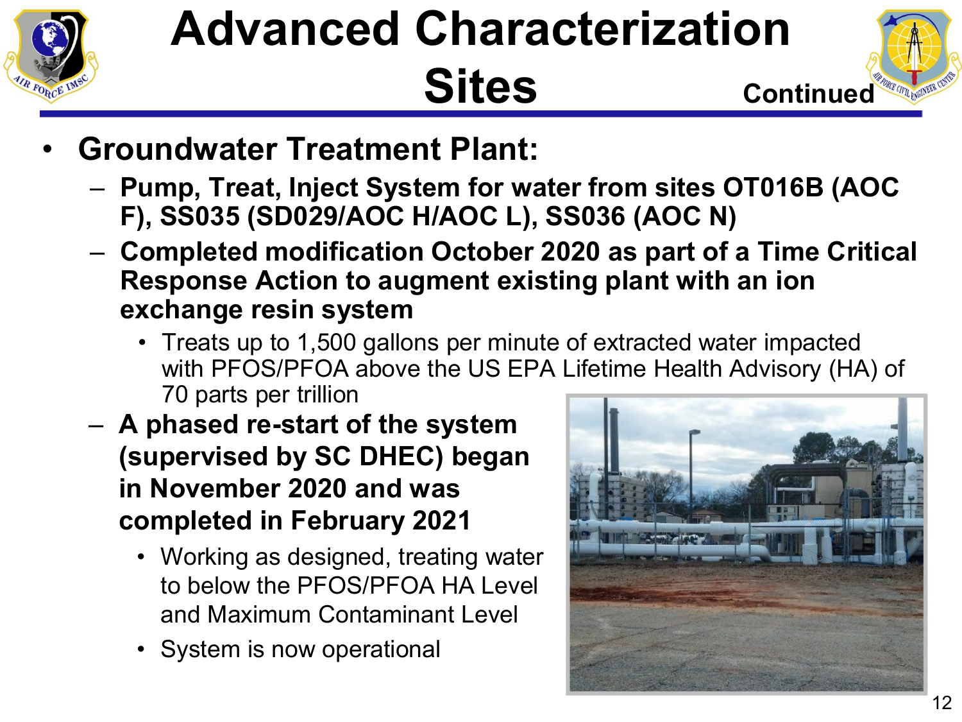

### **Advanced Characterization Sites**



- **Groundwater Treatment Plant:**
	- **Pump, Treat, Inject System for water from sites OT016B (AOC F), SS035 (SD029/AOC H/AOC L), SS036 (AOC N)**
	- **Completed modification October 2020 as part of a Time Critical Response Action to augment existing plant with an ion exchange resin system** 
		- Treats up to 1,500 gallons per minute of extracted water impacted with PFOS/PFOA above the US EPA Lifetime Health Advisory (HA) of 70 parts per trillion
	- **A phased re-start of the system (supervised by SC DHEC) began in November 2020 and was completed in February 2021**
		- Working as designed, treating water to below the PFOS/PFOA HA Level and Maximum Contaminant Level
		- System is now operational

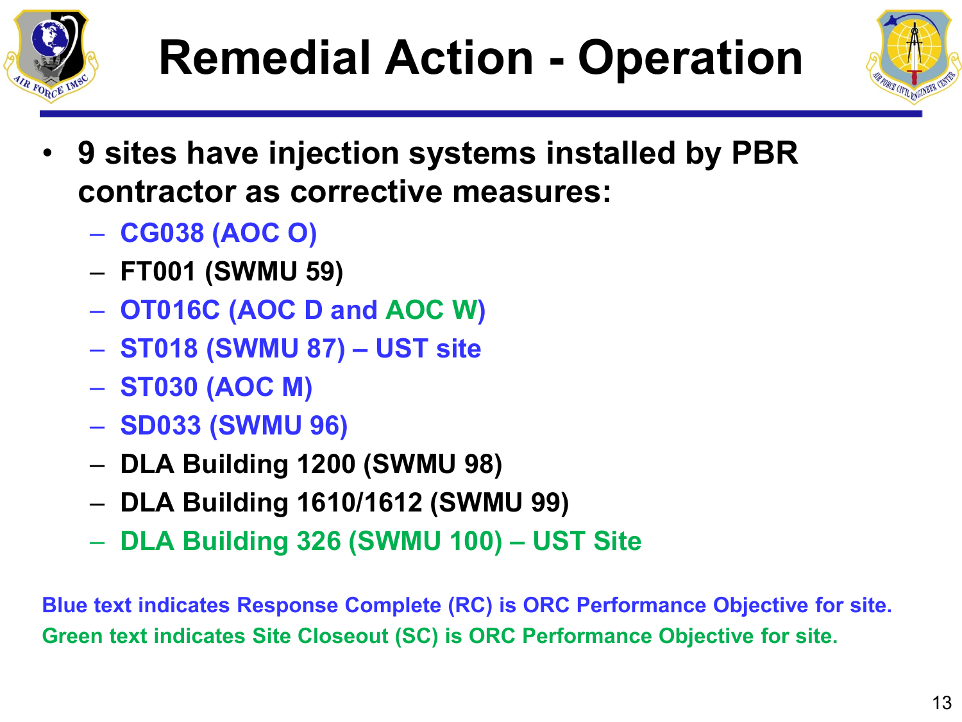





- **9 sites have injection systems installed by PBR contractor as corrective measures:**
	- **CG038 (AOC O)**
	- **FT001 (SWMU 59)**
	- **OT016C (AOC D and AOC W)**
	- **ST018 (SWMU 87) – UST site**
	- **ST030 (AOC M)**
	- **SD033 (SWMU 96)**
	- **DLA Building 1200 (SWMU 98)**
	- **DLA Building 1610/1612 (SWMU 99)**
	- **DLA Building 326 (SWMU 100) – UST Site**

**Blue text indicates Response Complete (RC) is ORC Performance Objective for site. Green text indicates Site Closeout (SC) is ORC Performance Objective for site.**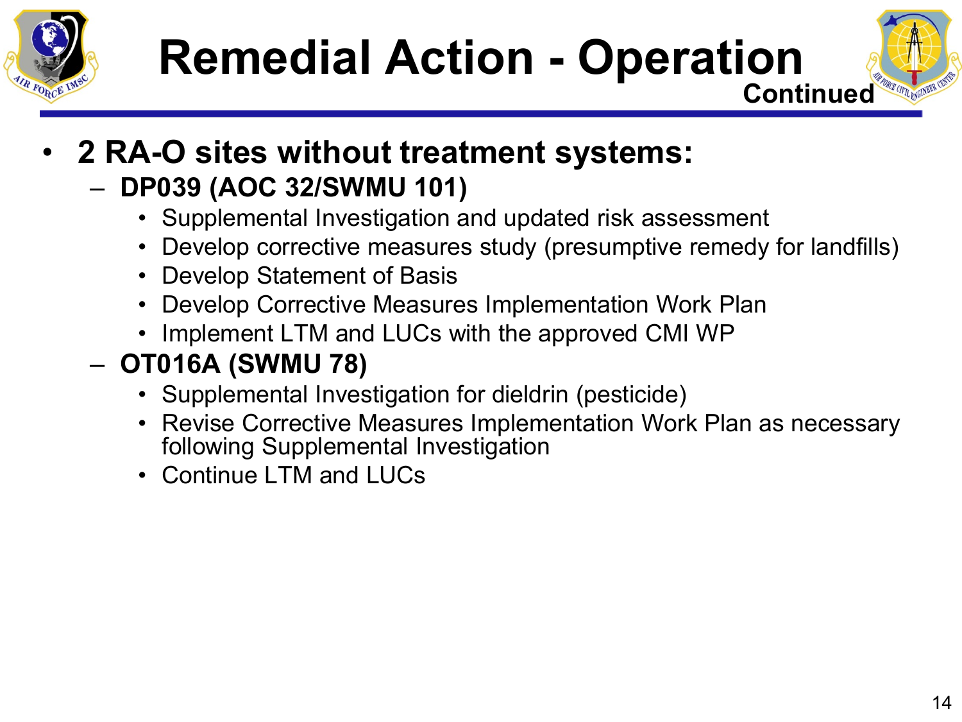





• **2 RA-O sites without treatment systems:**

#### – **DP039 (AOC 32/SWMU 101)**

- Supplemental Investigation and updated risk assessment
- Develop corrective measures study (presumptive remedy for landfills)
- Develop Statement of Basis
- Develop Corrective Measures Implementation Work Plan
- Implement LTM and LUCs with the approved CMI WP

#### – **OT016A (SWMU 78)**

- Supplemental Investigation for dieldrin (pesticide)
- Revise Corrective Measures Implementation Work Plan as necessary following Supplemental Investigation
- Continue LTM and LUCs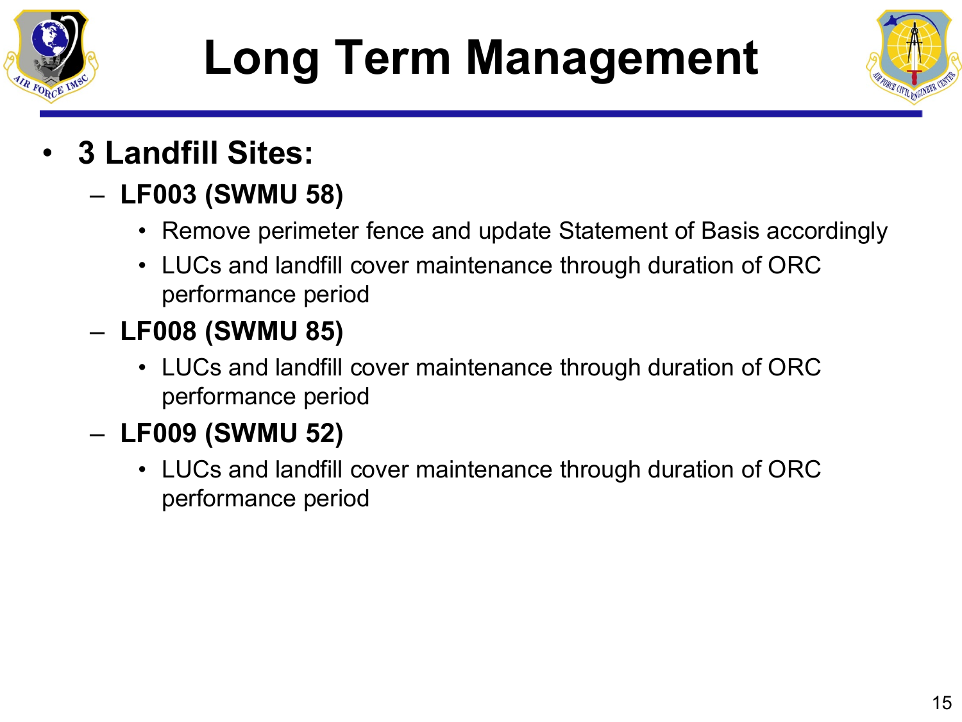

# **Long Term Management**



- **3 Landfill Sites:**
	- **LF003 (SWMU 58)**
		- Remove perimeter fence and update Statement of Basis accordingly
		- LUCs and landfill cover maintenance through duration of ORC performance period
	- **LF008 (SWMU 85)**
		- LUCs and landfill cover maintenance through duration of ORC performance period
	- **LF009 (SWMU 52)**
		- LUCs and landfill cover maintenance through duration of ORC performance period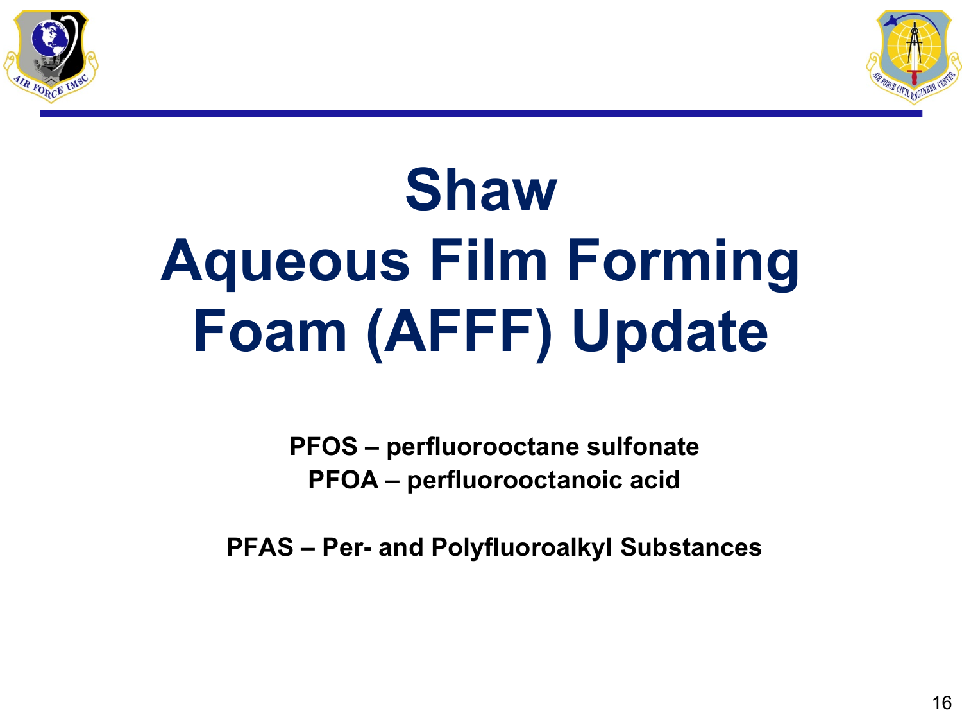



# **Shaw Aqueous Film Forming Foam (AFFF) Update**

**PFOS – perfluorooctane sulfonate PFOA – perfluorooctanoic acid**

**PFAS – Per- and Polyfluoroalkyl Substances**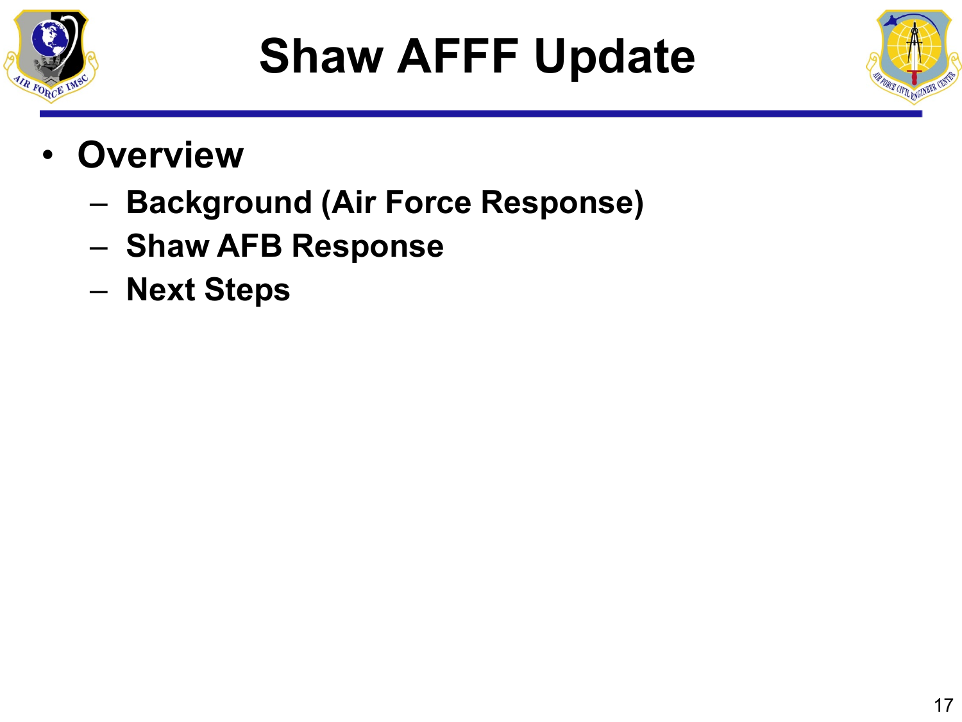

# **Shaw AFFF Update**



- **Overview**
	- **Background (Air Force Response)**
	- **Shaw AFB Response**
	- **Next Steps**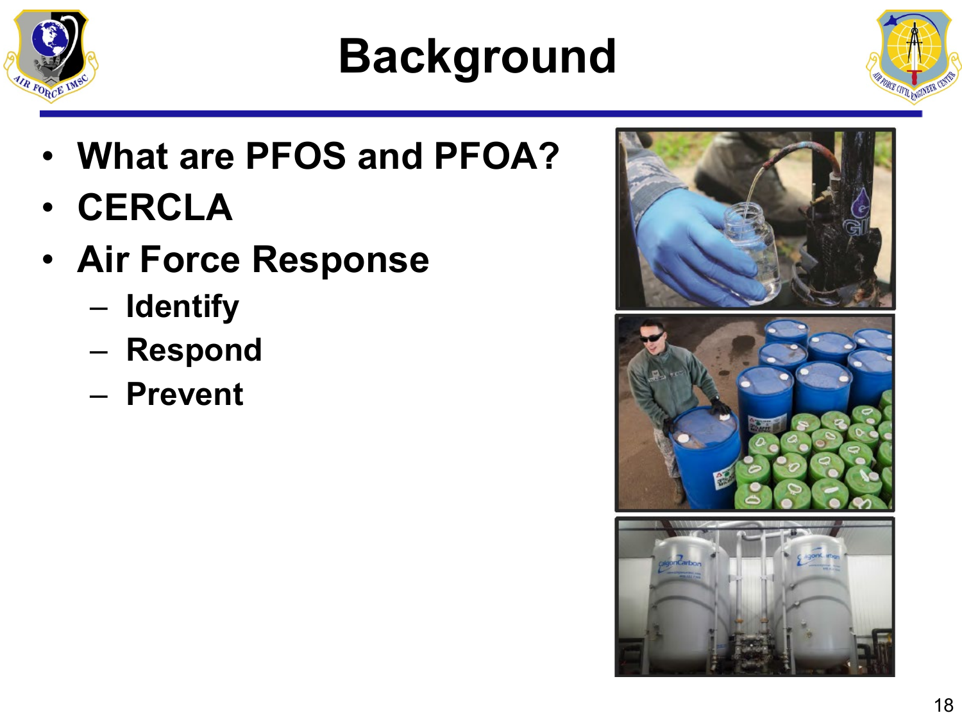

# **Background**

- **What are PFOS and PFOA?**
- **CERCLA**
- **Air Force Response**
	- **Identify**
	- **Respond**
	- **Prevent**

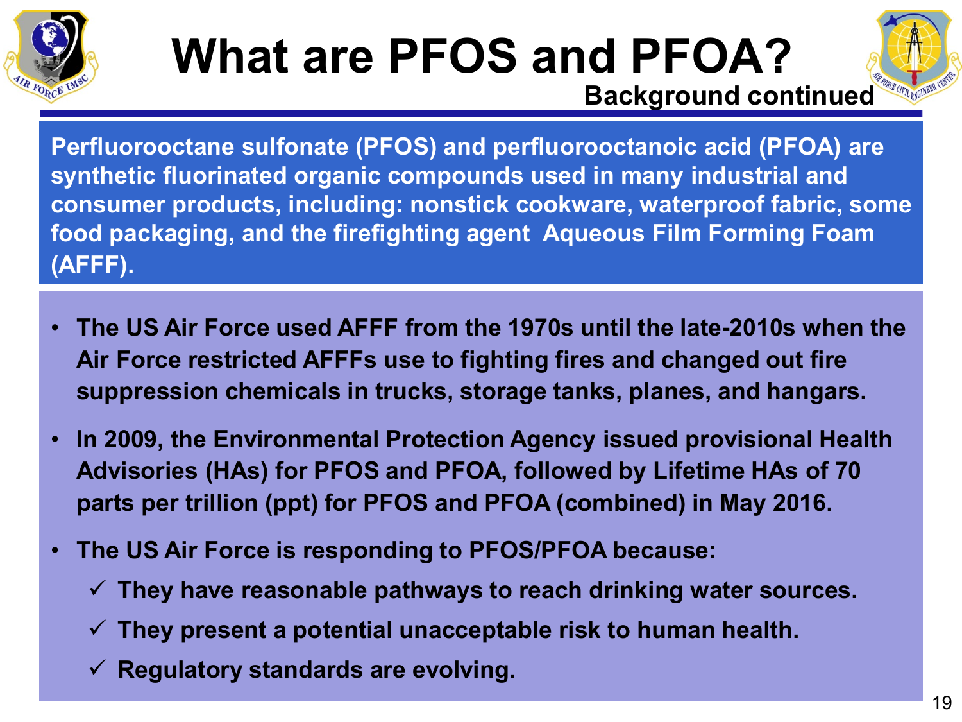

### **What are PFOS and PFOA? Background continued**



**Perfluorooctane sulfonate (PFOS) and perfluorooctanoic acid (PFOA) are synthetic fluorinated organic compounds used in many industrial and consumer products, including: nonstick cookware, waterproof fabric, some food packaging, and the firefighting agent Aqueous Film Forming Foam (AFFF).**

- **The US Air Force used AFFF from the 1970s until the late-2010s when the Air Force restricted AFFFs use to fighting fires and changed out fire suppression chemicals in trucks, storage tanks, planes, and hangars.**
- **In 2009, the Environmental Protection Agency issued provisional Health Advisories (HAs) for PFOS and PFOA, followed by Lifetime HAs of 70 parts per trillion (ppt) for PFOS and PFOA (combined) in May 2016.**
- **The US Air Force is responding to PFOS/PFOA because:**
	- **They have reasonable pathways to reach drinking water sources.**
	- **They present a potential unacceptable risk to human health.**
	- **Regulatory standards are evolving.**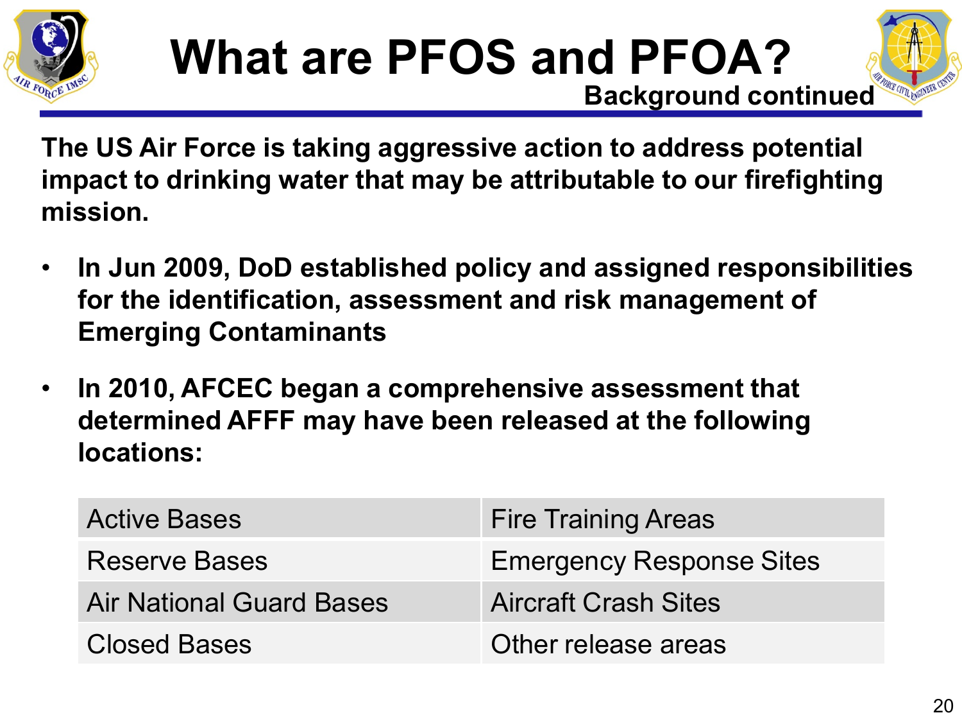





**The US Air Force is taking aggressive action to address potential impact to drinking water that may be attributable to our firefighting mission.**

- **In Jun 2009, DoD established policy and assigned responsibilities for the identification, assessment and risk management of Emerging Contaminants**
- **In 2010, AFCEC began a comprehensive assessment that determined AFFF may have been released at the following locations:**

| <b>Active Bases</b>             | <b>Fire Training Areas</b>      |
|---------------------------------|---------------------------------|
| <b>Reserve Bases</b>            | <b>Emergency Response Sites</b> |
| <b>Air National Guard Bases</b> | <b>Aircraft Crash Sites</b>     |
| <b>Closed Bases</b>             | Other release areas             |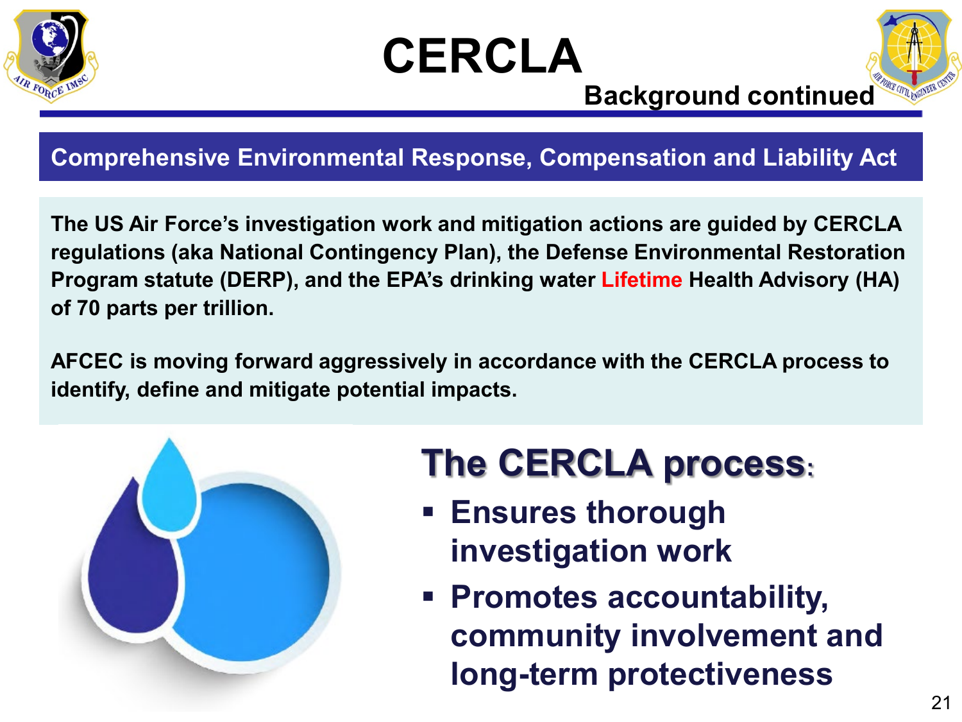





#### **Background continued**

#### **Comprehensive Environmental Response, Compensation and Liability Act**

**The US Air Force's investigation work and mitigation actions are guided by CERCLA regulations (aka National Contingency Plan), the Defense Environmental Restoration Program statute (DERP), and the EPA's drinking water Lifetime Health Advisory (HA) of 70 parts per trillion.**

**AFCEC is moving forward aggressively in accordance with the CERCLA process to identify, define and mitigate potential impacts.**



### **The CERCLA process:**

- **Ensures thorough investigation work**
- **Promotes accountability, community involvement and long-term protectiveness**